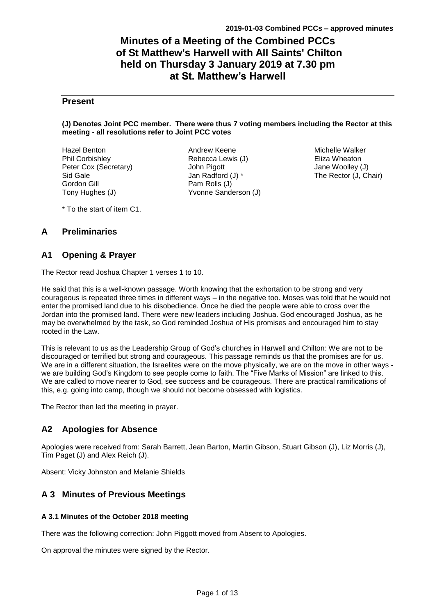# **Minutes of a Meeting of the Combined PCCs of St Matthew's Harwell with All Saints' Chilton held on Thursday 3 January 2019 at 7.30 pm at St. Matthew's Harwell**

### **Present**

#### **(J) Denotes Joint PCC member. There were thus 7 voting members including the Rector at this meeting - all resolutions refer to Joint PCC votes**

Hazel Benton Phil Corbishley Peter Cox (Secretary) Sid Gale Gordon Gill Tony Hughes (J)

Andrew Keene Rebecca Lewis (J) John Pigott Jan Radford (J) \* Pam Rolls (J) Yvonne Sanderson (J)

Michelle Walker Eliza Wheaton Jane Woolley (J) The Rector (J, Chair)

\* To the start of item C1.

### **A Preliminaries**

### **A1 Opening & Prayer**

The Rector read Joshua Chapter 1 verses 1 to 10.

He said that this is a well-known passage. Worth knowing that the exhortation to be strong and very courageous is repeated three times in different ways – in the negative too. Moses was told that he would not enter the promised land due to his disobedience. Once he died the people were able to cross over the Jordan into the promised land. There were new leaders including Joshua. God encouraged Joshua, as he may be overwhelmed by the task, so God reminded Joshua of His promises and encouraged him to stay rooted in the Law.

This is relevant to us as the Leadership Group of God's churches in Harwell and Chilton: We are not to be discouraged or terrified but strong and courageous. This passage reminds us that the promises are for us. We are in a different situation, the Israelites were on the move physically, we are on the move in other ways we are building God's Kingdom to see people come to faith. The "Five Marks of Mission" are linked to this. We are called to move nearer to God, see success and be courageous. There are practical ramifications of this, e.g. going into camp, though we should not become obsessed with logistics.

The Rector then led the meeting in prayer.

## **A2 Apologies for Absence**

Apologies were received from: Sarah Barrett, Jean Barton, Martin Gibson, Stuart Gibson (J), Liz Morris (J), Tim Paget (J) and Alex Reich (J).

Absent: Vicky Johnston and Melanie Shields

## **A 3 Minutes of Previous Meetings**

#### **A 3.1 Minutes of the October 2018 meeting**

There was the following correction: John Piggott moved from Absent to Apologies.

On approval the minutes were signed by the Rector.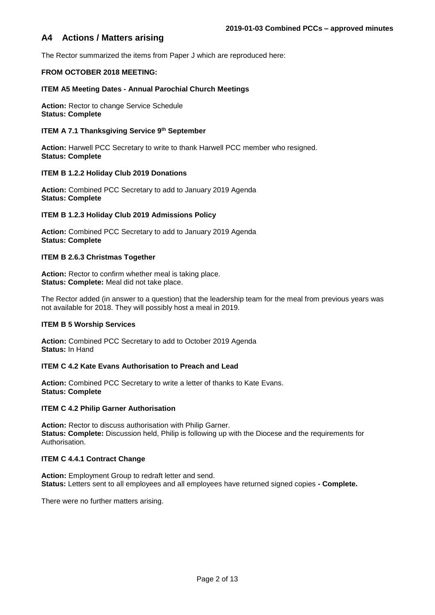### **A4 Actions / Matters arising**

The Rector summarized the items from Paper J which are reproduced here:

#### **FROM OCTOBER 2018 MEETING:**

#### **ITEM A5 Meeting Dates - Annual Parochial Church Meetings**

**Action:** Rector to change Service Schedule **Status: Complete**

#### **ITEM A 7.1 Thanksgiving Service 9th September**

**Action:** Harwell PCC Secretary to write to thank Harwell PCC member who resigned. **Status: Complete** 

#### **ITEM B 1.2.2 Holiday Club 2019 Donations**

**Action:** Combined PCC Secretary to add to January 2019 Agenda **Status: Complete**

#### **ITEM B 1.2.3 Holiday Club 2019 Admissions Policy**

**Action:** Combined PCC Secretary to add to January 2019 Agenda **Status: Complete**

#### **ITEM B 2.6.3 Christmas Together**

**Action:** Rector to confirm whether meal is taking place. **Status: Complete:** Meal did not take place.

The Rector added (in answer to a question) that the leadership team for the meal from previous years was not available for 2018. They will possibly host a meal in 2019.

#### **ITEM B 5 Worship Services**

**Action:** Combined PCC Secretary to add to October 2019 Agenda **Status:** In Hand

#### **ITEM C 4.2 Kate Evans Authorisation to Preach and Lead**

**Action:** Combined PCC Secretary to write a letter of thanks to Kate Evans. **Status: Complete**

#### **ITEM C 4.2 Philip Garner Authorisation**

**Action:** Rector to discuss authorisation with Philip Garner. **Status: Complete:** Discussion held, Philip is following up with the Diocese and the requirements for Authorisation.

#### **ITEM C 4.4.1 Contract Change**

**Action:** Employment Group to redraft letter and send. **Status:** Letters sent to all employees and all employees have returned signed copies **- Complete.**

There were no further matters arising.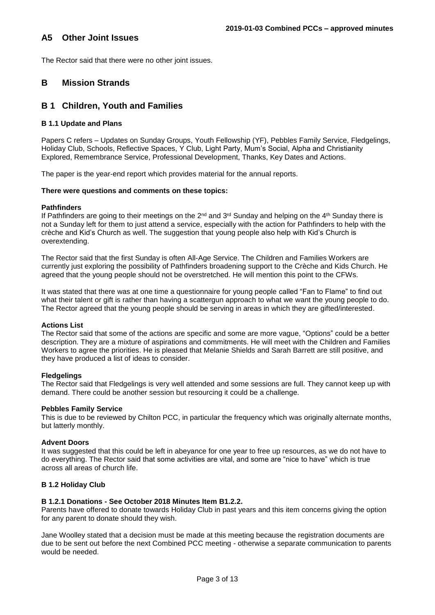### **A5 Other Joint Issues**

The Rector said that there were no other joint issues.

### **B Mission Strands**

### **B 1 Children, Youth and Families**

#### **B 1.1 Update and Plans**

Papers C refers – Updates on Sunday Groups, Youth Fellowship (YF), Pebbles Family Service, Fledgelings, Holiday Club, Schools, Reflective Spaces, Y Club, Light Party, Mum's Social, Alpha and Christianity Explored, Remembrance Service, Professional Development, Thanks, Key Dates and Actions.

The paper is the year-end report which provides material for the annual reports.

#### **There were questions and comments on these topics:**

#### **Pathfinders**

If Pathfinders are going to their meetings on the 2<sup>nd</sup> and 3<sup>rd</sup> Sunday and helping on the 4<sup>th</sup> Sunday there is not a Sunday left for them to just attend a service, especially with the action for Pathfinders to help with the crèche and Kid's Church as well. The suggestion that young people also help with Kid's Church is overextending.

The Rector said that the first Sunday is often All-Age Service. The Children and Families Workers are currently just exploring the possibility of Pathfinders broadening support to the Crèche and Kids Church. He agreed that the young people should not be overstretched. He will mention this point to the CFWs.

It was stated that there was at one time a questionnaire for young people called "Fan to Flame" to find out what their talent or gift is rather than having a scattergun approach to what we want the young people to do. The Rector agreed that the young people should be serving in areas in which they are gifted/interested.

#### **Actions List**

The Rector said that some of the actions are specific and some are more vague, "Options" could be a better description. They are a mixture of aspirations and commitments. He will meet with the Children and Families Workers to agree the priorities. He is pleased that Melanie Shields and Sarah Barrett are still positive, and they have produced a list of ideas to consider.

#### **Fledgelings**

The Rector said that Fledgelings is very well attended and some sessions are full. They cannot keep up with demand. There could be another session but resourcing it could be a challenge.

#### **Pebbles Family Service**

This is due to be reviewed by Chilton PCC, in particular the frequency which was originally alternate months, but latterly monthly.

#### **Advent Doors**

It was suggested that this could be left in abeyance for one year to free up resources, as we do not have to do everything. The Rector said that some activities are vital, and some are "nice to have" which is true across all areas of church life.

#### **B 1.2 Holiday Club**

#### **B 1.2.1 Donations - See October 2018 Minutes Item B1.2.2.**

Parents have offered to donate towards Holiday Club in past years and this item concerns giving the option for any parent to donate should they wish.

Jane Woolley stated that a decision must be made at this meeting because the registration documents are due to be sent out before the next Combined PCC meeting - otherwise a separate communication to parents would be needed.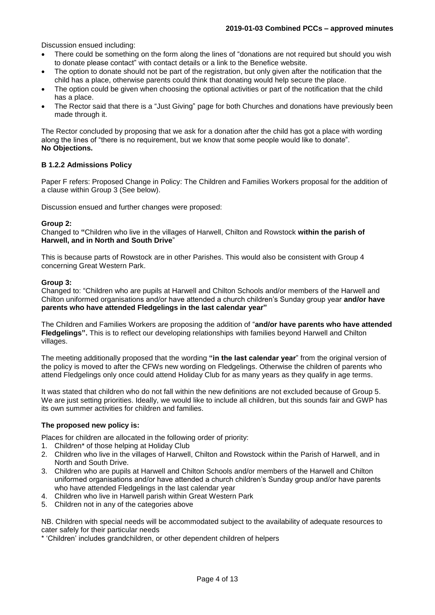Discussion ensued including:

- There could be something on the form along the lines of "donations are not required but should you wish to donate please contact" with contact details or a link to the Benefice website.
- The option to donate should not be part of the registration, but only given after the notification that the child has a place, otherwise parents could think that donating would help secure the place.
- The option could be given when choosing the optional activities or part of the notification that the child has a place.
- The Rector said that there is a "Just Giving" page for both Churches and donations have previously been made through it.

The Rector concluded by proposing that we ask for a donation after the child has got a place with wording along the lines of "there is no requirement, but we know that some people would like to donate". **No Objections.**

#### **B 1.2.2 Admissions Policy**

Paper F refers: Proposed Change in Policy: The Children and Families Workers proposal for the addition of a clause within Group 3 (See below).

Discussion ensued and further changes were proposed:

#### **Group 2:**

Changed to **"**Children who live in the villages of Harwell, Chilton and Rowstock **within the parish of Harwell, and in North and South Drive**"

This is because parts of Rowstock are in other Parishes. This would also be consistent with Group 4 concerning Great Western Park.

#### **Group 3:**

Changed to: "Children who are pupils at Harwell and Chilton Schools and/or members of the Harwell and Chilton uniformed organisations and/or have attended a church children's Sunday group year **and/or have parents who have attended Fledgelings in the last calendar year"**

The Children and Families Workers are proposing the addition of "**and/or have parents who have attended Fledgelings".** This is to reflect our developing relationships with families beyond Harwell and Chilton villages.

The meeting additionally proposed that the wording **"in the last calendar year**" from the original version of the policy is moved to after the CFWs new wording on Fledgelings. Otherwise the children of parents who attend Fledgelings only once could attend Holiday Club for as many years as they qualify in age terms.

It was stated that children who do not fall within the new definitions are not excluded because of Group 5. We are just setting priorities. Ideally, we would like to include all children, but this sounds fair and GWP has its own summer activities for children and families.

#### **The proposed new policy is:**

Places for children are allocated in the following order of priority:

- 1. Children\* of those helping at Holiday Club
- 2. Children who live in the villages of Harwell, Chilton and Rowstock within the Parish of Harwell, and in North and South Drive.
- 3. Children who are pupils at Harwell and Chilton Schools and/or members of the Harwell and Chilton uniformed organisations and/or have attended a church children's Sunday group and/or have parents who have attended Fledgelings in the last calendar year
- 4. Children who live in Harwell parish within Great Western Park
- 5. Children not in any of the categories above

NB. Children with special needs will be accommodated subject to the availability of adequate resources to cater safely for their particular needs

\* 'Children' includes grandchildren, or other dependent children of helpers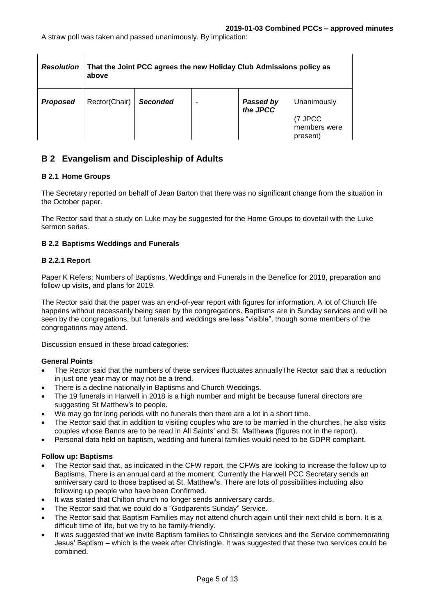| <b>Resolution</b> | That the Joint PCC agrees the new Holiday Club Admissions policy as<br>above |                 |  |                       |                                    |
|-------------------|------------------------------------------------------------------------------|-----------------|--|-----------------------|------------------------------------|
| <b>Proposed</b>   | Rector(Chair)                                                                | <b>Seconded</b> |  | Passed by<br>the JPCC | Unanimously                        |
|                   |                                                                              |                 |  |                       | 7 JPCC<br>members were<br>present) |

## **B 2 Evangelism and Discipleship of Adults**

#### **B 2.1 Home Groups**

The Secretary reported on behalf of Jean Barton that there was no significant change from the situation in the October paper.

The Rector said that a study on Luke may be suggested for the Home Groups to dovetail with the Luke sermon series.

#### **B 2.2 Baptisms Weddings and Funerals**

#### **B 2.2.1 Report**

Paper K Refers: Numbers of Baptisms, Weddings and Funerals in the Benefice for 2018, preparation and follow up visits, and plans for 2019.

The Rector said that the paper was an end-of-year report with figures for information. A lot of Church life happens without necessarily being seen by the congregations. Baptisms are in Sunday services and will be seen by the congregations, but funerals and weddings are less "visible", though some members of the congregations may attend.

Discussion ensued in these broad categories:

#### **General Points**

- The Rector said that the numbers of these services fluctuates annuallyThe Rector said that a reduction in just one year may or may not be a trend.
- There is a decline nationally in Baptisms and Church Weddings.
- The 19 funerals in Harwell in 2018 is a high number and might be because funeral directors are suggesting St Matthew's to people.
- We may go for long periods with no funerals then there are a lot in a short time.
- The Rector said that in addition to visiting couples who are to be married in the churches, he also visits couples whose Banns are to be read in All Saints' and St. Matthews (figures not in the report).
- Personal data held on baptism, wedding and funeral families would need to be GDPR compliant.

#### **Follow up: Baptisms**

- The Rector said that, as indicated in the CFW report, the CFWs are looking to increase the follow up to Baptisms. There is an annual card at the moment. Currently the Harwell PCC Secretary sends an anniversary card to those baptised at St. Matthew's. There are lots of possibilities including also following up people who have been Confirmed.
- It was stated that Chilton church no longer sends anniversary cards.
- The Rector said that we could do a "Godparents Sunday" Service.
- The Rector said that Baptism Families may not attend church again until their next child is born. It is a difficult time of life, but we try to be family-friendly.
- It was suggested that we invite Baptism families to Christingle services and the Service commemorating Jesus' Baptism – which is the week after Christingle. It was suggested that these two services could be combined.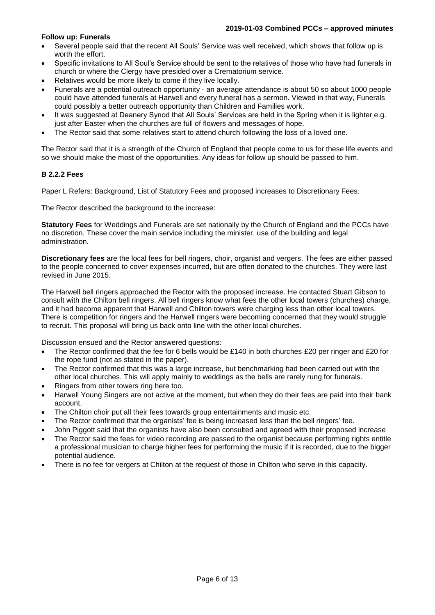#### **Follow up: Funerals**

- Several people said that the recent All Souls' Service was well received, which shows that follow up is worth the effort.
- Specific invitations to All Soul's Service should be sent to the relatives of those who have had funerals in church or where the Clergy have presided over a Crematorium service.
- Relatives would be more likely to come if they live locally.
- Funerals are a potential outreach opportunity an average attendance is about 50 so about 1000 people could have attended funerals at Harwell and every funeral has a sermon. Viewed in that way, Funerals could possibly a better outreach opportunity than Children and Families work.
- It was suggested at Deanery Synod that All Souls' Services are held in the Spring when it is lighter e.g. just after Easter when the churches are full of flowers and messages of hope.
- The Rector said that some relatives start to attend church following the loss of a loved one.

The Rector said that it is a strength of the Church of England that people come to us for these life events and so we should make the most of the opportunities. Any ideas for follow up should be passed to him.

#### **B 2.2.2 Fees**

Paper L Refers: Background, List of Statutory Fees and proposed increases to Discretionary Fees.

The Rector described the background to the increase:

**Statutory Fees** for Weddings and Funerals are set nationally by the Church of England and the PCCs have no discretion. These cover the main service including the minister, use of the building and legal administration.

**Discretionary fees** are the local fees for bell ringers, choir, organist and vergers. The fees are either passed to the people concerned to cover expenses incurred, but are often donated to the churches. They were last revised in June 2015.

The Harwell bell ringers approached the Rector with the proposed increase. He contacted Stuart Gibson to consult with the Chilton bell ringers. All bell ringers know what fees the other local towers (churches) charge, and it had become apparent that Harwell and Chilton towers were charging less than other local towers. There is competition for ringers and the Harwell ringers were becoming concerned that they would struggle to recruit. This proposal will bring us back onto line with the other local churches.

Discussion ensued and the Rector answered questions:

- The Rector confirmed that the fee for 6 bells would be £140 in both churches £20 per ringer and £20 for the rope fund (not as stated in the paper).
- The Rector confirmed that this was a large increase, but benchmarking had been carried out with the other local churches. This will apply mainly to weddings as the bells are rarely rung for funerals.
- Ringers from other towers ring here too.
- Harwell Young Singers are not active at the moment, but when they do their fees are paid into their bank account.
- The Chilton choir put all their fees towards group entertainments and music etc.
- The Rector confirmed that the organists' fee is being increased less than the bell ringers' fee.
- John Piggott said that the organists have also been consulted and agreed with their proposed increase The Rector said the fees for video recording are passed to the organist because performing rights entitle
- a professional musician to charge higher fees for performing the music if it is recorded, due to the bigger potential audience.
- There is no fee for vergers at Chilton at the request of those in Chilton who serve in this capacity.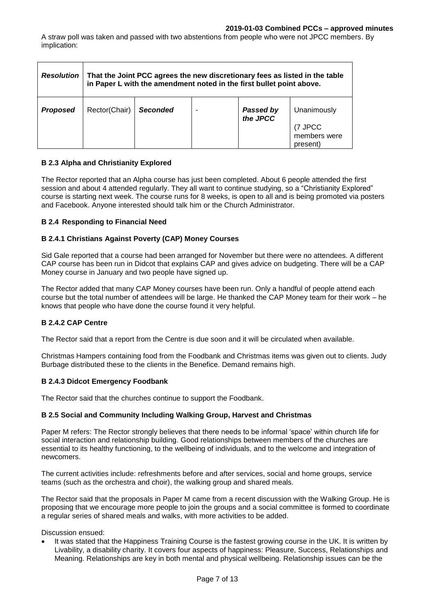A straw poll was taken and passed with two abstentions from people who were not JPCC members. By implication:

| <b>Resolution</b> | That the Joint PCC agrees the new discretionary fees as listed in the table<br>in Paper L with the amendment noted in the first bullet point above. |                 |  |                       |                                     |
|-------------------|-----------------------------------------------------------------------------------------------------------------------------------------------------|-----------------|--|-----------------------|-------------------------------------|
| <b>Proposed</b>   | Rector(Chair)                                                                                                                                       | <b>Seconded</b> |  | Passed by<br>the JPCC | Unanimously                         |
|                   |                                                                                                                                                     |                 |  |                       | (7 JPCC<br>members were<br>present) |

#### **B 2.3 Alpha and Christianity Explored**

The Rector reported that an Alpha course has just been completed. About 6 people attended the first session and about 4 attended regularly. They all want to continue studying, so a "Christianity Explored" course is starting next week. The course runs for 8 weeks, is open to all and is being promoted via posters and Facebook. Anyone interested should talk him or the Church Administrator.

#### **B 2.4 Responding to Financial Need**

### **B 2.4.1 Christians Against Poverty (CAP) Money Courses**

Sid Gale reported that a course had been arranged for November but there were no attendees. A different CAP course has been run in Didcot that explains CAP and gives advice on budgeting. There will be a CAP Money course in January and two people have signed up.

The Rector added that many CAP Money courses have been run. Only a handful of people attend each course but the total number of attendees will be large. He thanked the CAP Money team for their work – he knows that people who have done the course found it very helpful.

#### **B 2.4.2 CAP Centre**

The Rector said that a report from the Centre is due soon and it will be circulated when available.

Christmas Hampers containing food from the Foodbank and Christmas items was given out to clients. Judy Burbage distributed these to the clients in the Benefice. Demand remains high.

#### **B 2.4.3 Didcot Emergency Foodbank**

The Rector said that the churches continue to support the Foodbank.

#### **B 2.5 Social and Community Including Walking Group, Harvest and Christmas**

Paper M refers: The Rector strongly believes that there needs to be informal 'space' within church life for social interaction and relationship building. Good relationships between members of the churches are essential to its healthy functioning, to the wellbeing of individuals, and to the welcome and integration of newcomers.

The current activities include: refreshments before and after services, social and home groups, service teams (such as the orchestra and choir), the walking group and shared meals.

The Rector said that the proposals in Paper M came from a recent discussion with the Walking Group. He is proposing that we encourage more people to join the groups and a social committee is formed to coordinate a regular series of shared meals and walks, with more activities to be added.

Discussion ensued:

It was stated that the Happiness Training Course is the fastest growing course in the UK. It is written by Livability, a disability charity. It covers four aspects of happiness: Pleasure, Success, Relationships and Meaning. Relationships are key in both mental and physical wellbeing. Relationship issues can be the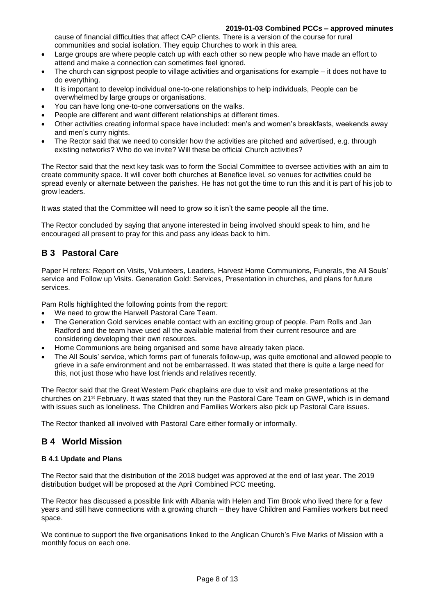#### **2019-01-03 Combined PCCs – approved minutes**

cause of financial difficulties that affect CAP clients. There is a version of the course for rural communities and social isolation. They equip Churches to work in this area.

- Large groups are where people catch up with each other so new people who have made an effort to attend and make a connection can sometimes feel ignored.
- The church can signpost people to village activities and organisations for example it does not have to do everything.
- It is important to develop individual one-to-one relationships to help individuals, People can be overwhelmed by large groups or organisations.
- You can have long one-to-one conversations on the walks.
- People are different and want different relationships at different times.
- Other activities creating informal space have included: men's and women's breakfasts, weekends away and men's curry nights.
- The Rector said that we need to consider how the activities are pitched and advertised, e.g. through existing networks? Who do we invite? Will these be official Church activities?

The Rector said that the next key task was to form the Social Committee to oversee activities with an aim to create community space. It will cover both churches at Benefice level, so venues for activities could be spread evenly or alternate between the parishes. He has not got the time to run this and it is part of his job to grow leaders.

It was stated that the Committee will need to grow so it isn't the same people all the time.

The Rector concluded by saying that anyone interested in being involved should speak to him, and he encouraged all present to pray for this and pass any ideas back to him.

## **B 3 Pastoral Care**

Paper H refers: Report on Visits, Volunteers, Leaders, Harvest Home Communions, Funerals, the All Souls' service and Follow up Visits. Generation Gold: Services, Presentation in churches, and plans for future services.

Pam Rolls highlighted the following points from the report:

- We need to grow the Harwell Pastoral Care Team.
- The Generation Gold services enable contact with an exciting group of people. Pam Rolls and Jan Radford and the team have used all the available material from their current resource and are considering developing their own resources.
- Home Communions are being organised and some have already taken place.
- The All Souls' service, which forms part of funerals follow-up, was quite emotional and allowed people to grieve in a safe environment and not be embarrassed. It was stated that there is quite a large need for this, not just those who have lost friends and relatives recently.

The Rector said that the Great Western Park chaplains are due to visit and make presentations at the churches on 21st February. It was stated that they run the Pastoral Care Team on GWP, which is in demand with issues such as loneliness. The Children and Families Workers also pick up Pastoral Care issues.

The Rector thanked all involved with Pastoral Care either formally or informally.

## **B 4 World Mission**

#### **B 4.1 Update and Plans**

The Rector said that the distribution of the 2018 budget was approved at the end of last year. The 2019 distribution budget will be proposed at the April Combined PCC meeting.

The Rector has discussed a possible link with Albania with Helen and Tim Brook who lived there for a few years and still have connections with a growing church – they have Children and Families workers but need space.

We continue to support the five organisations linked to the Anglican Church's Five Marks of Mission with a monthly focus on each one.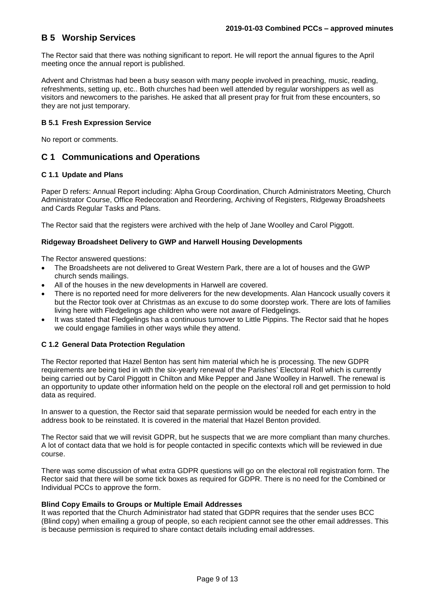## **B 5 Worship Services**

The Rector said that there was nothing significant to report. He will report the annual figures to the April meeting once the annual report is published.

Advent and Christmas had been a busy season with many people involved in preaching, music, reading, refreshments, setting up, etc.. Both churches had been well attended by regular worshippers as well as visitors and newcomers to the parishes. He asked that all present pray for fruit from these encounters, so they are not just temporary.

#### **B 5.1 Fresh Expression Service**

No report or comments.

### **C 1 Communications and Operations**

#### **C 1.1 Update and Plans**

Paper D refers: Annual Report including: Alpha Group Coordination, Church Administrators Meeting, Church Administrator Course, Office Redecoration and Reordering, Archiving of Registers, Ridgeway Broadsheets and Cards Regular Tasks and Plans.

The Rector said that the registers were archived with the help of Jane Woolley and Carol Piggott.

#### **Ridgeway Broadsheet Delivery to GWP and Harwell Housing Developments**

The Rector answered questions:

- The Broadsheets are not delivered to Great Western Park, there are a lot of houses and the GWP church sends mailings.
- All of the houses in the new developments in Harwell are covered.
- There is no reported need for more deliverers for the new developments. Alan Hancock usually covers it but the Rector took over at Christmas as an excuse to do some doorstep work. There are lots of families living here with Fledgelings age children who were not aware of Fledgelings.
- It was stated that Fledgelings has a continuous turnover to Little Pippins. The Rector said that he hopes we could engage families in other ways while they attend.

#### **C 1.2 General Data Protection Regulation**

The Rector reported that Hazel Benton has sent him material which he is processing. The new GDPR requirements are being tied in with the six-yearly renewal of the Parishes' Electoral Roll which is currently being carried out by Carol Piggott in Chilton and Mike Pepper and Jane Woolley in Harwell. The renewal is an opportunity to update other information held on the people on the electoral roll and get permission to hold data as required.

In answer to a question, the Rector said that separate permission would be needed for each entry in the address book to be reinstated. It is covered in the material that Hazel Benton provided.

The Rector said that we will revisit GDPR, but he suspects that we are more compliant than many churches. A lot of contact data that we hold is for people contacted in specific contexts which will be reviewed in due course.

There was some discussion of what extra GDPR questions will go on the electoral roll registration form. The Rector said that there will be some tick boxes as required for GDPR. There is no need for the Combined or Individual PCCs to approve the form.

#### **Blind Copy Emails to Groups or Multiple Email Addresses**

It was reported that the Church Administrator had stated that GDPR requires that the sender uses BCC (Blind copy) when emailing a group of people, so each recipient cannot see the other email addresses. This is because permission is required to share contact details including email addresses.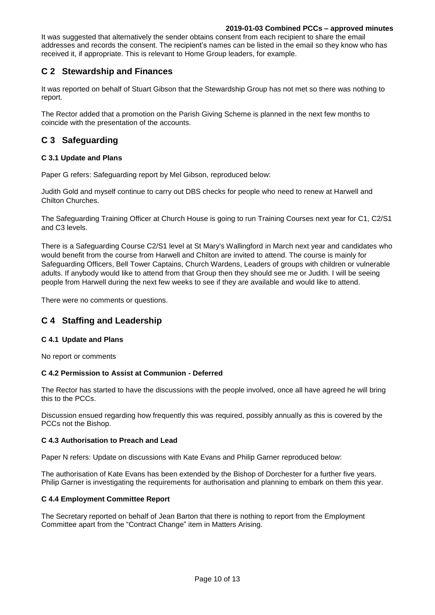#### **2019-01-03 Combined PCCs – approved minutes**

It was suggested that alternatively the sender obtains consent from each recipient to share the email addresses and records the consent. The recipient's names can be listed in the email so they know who has received it, if appropriate. This is relevant to Home Group leaders, for example.

## **C 2 Stewardship and Finances**

It was reported on behalf of Stuart Gibson that the Stewardship Group has not met so there was nothing to report.

The Rector added that a promotion on the Parish Giving Scheme is planned in the next few months to coincide with the presentation of the accounts.

## **C 3 Safeguarding**

#### **C 3.1 Update and Plans**

Paper G refers: Safeguarding report by Mel Gibson, reproduced below:

Judith Gold and myself continue to carry out DBS checks for people who need to renew at Harwell and Chilton Churches.

The Safeguarding Training Officer at Church House is going to run Training Courses next year for C1, C2/S1 and C3 levels.

There is a Safeguarding Course C2/S1 level at St Mary's Wallingford in March next year and candidates who would benefit from the course from Harwell and Chilton are invited to attend. The course is mainly for Safeguarding Officers, Bell Tower Captains, Church Wardens, Leaders of groups with children or vulnerable adults. If anybody would like to attend from that Group then they should see me or Judith. I will be seeing people from Harwell during the next few weeks to see if they are available and would like to attend.

There were no comments or questions.

### **C 4 Staffing and Leadership**

#### **C 4.1 Update and Plans**

No report or comments

#### **C 4.2 Permission to Assist at Communion - Deferred**

The Rector has started to have the discussions with the people involved, once all have agreed he will bring this to the PCCs.

Discussion ensued regarding how frequently this was required, possibly annually as this is covered by the PCCs not the Bishop.

#### **C 4.3 Authorisation to Preach and Lead**

Paper N refers: Update on discussions with Kate Evans and Philip Garner reproduced below:

The authorisation of Kate Evans has been extended by the Bishop of Dorchester for a further five years. Philip Garner is investigating the requirements for authorisation and planning to embark on them this year.

#### **C 4.4 Employment Committee Report**

The Secretary reported on behalf of Jean Barton that there is nothing to report from the Employment Committee apart from the "Contract Change" item in Matters Arising.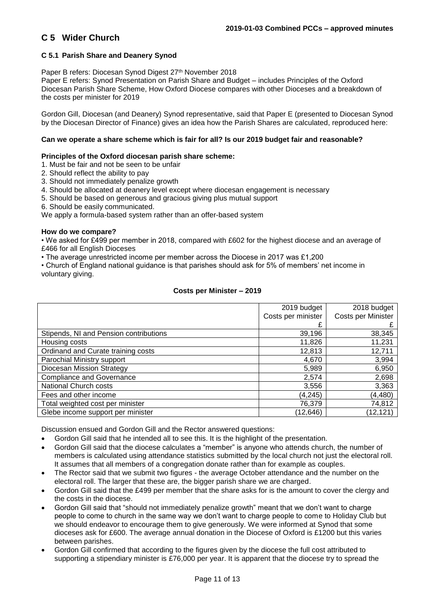## **C 5 Wider Church**

#### **C 5.1 Parish Share and Deanery Synod**

Paper B refers: Diocesan Synod Digest 27<sup>th</sup> November 2018

Paper E refers: Synod Presentation on Parish Share and Budget – includes Principles of the Oxford Diocesan Parish Share Scheme, How Oxford Diocese compares with other Dioceses and a breakdown of the costs per minister for 2019

Gordon Gill, Diocesan (and Deanery) Synod representative, said that Paper E (presented to Diocesan Synod by the Diocesan Director of Finance) gives an idea how the Parish Shares are calculated, reproduced here:

#### **Can we operate a share scheme which is fair for all? Is our 2019 budget fair and reasonable?**

#### **Principles of the Oxford diocesan parish share scheme:**

1. Must be fair and not be seen to be unfair

- 2. Should reflect the ability to pay
- 3. Should not immediately penalize growth
- 4. Should be allocated at deanery level except where diocesan engagement is necessary
- 5. Should be based on generous and gracious giving plus mutual support
- 6. Should be easily communicated.

We apply a formula-based system rather than an offer-based system

#### **How do we compare?**

• We asked for £499 per member in 2018, compared with £602 for the highest diocese and an average of £466 for all English Dioceses

• The average unrestricted income per member across the Diocese in 2017 was £1,200

• Church of England national guidance is that parishes should ask for 5% of members' net income in voluntary giving.

#### **Costs per Minister – 2019**

|                                        | 2019 budget        | 2018 budget        |
|----------------------------------------|--------------------|--------------------|
|                                        | Costs per minister | Costs per Minister |
|                                        |                    |                    |
| Stipends, NI and Pension contributions | 39,196             | 38,345             |
| Housing costs                          | 11,826             | 11,231             |
| Ordinand and Curate training costs     | 12,813             | 12,711             |
| Parochial Ministry support             | 4,670              | 3,994              |
| Diocesan Mission Strategy              | 5,989              | 6,950              |
| <b>Compliance and Governance</b>       | 2,574              | 2,698              |
| National Church costs                  | 3,556              | 3,363              |
| Fees and other income                  | (4, 245)           | (4, 480)           |
| Total weighted cost per minister       | 76,379             | 74,812             |
| Glebe income support per minister      | (12, 646)          | (12, 121)          |

Discussion ensued and Gordon Gill and the Rector answered questions:

- Gordon Gill said that he intended all to see this. It is the highlight of the presentation.
- Gordon Gill said that the diocese calculates a "member" is anyone who attends church, the number of members is calculated using attendance statistics submitted by the local church not just the electoral roll. It assumes that all members of a congregation donate rather than for example as couples.
- The Rector said that we submit two figures the average October attendance and the number on the electoral roll. The larger that these are, the bigger parish share we are charged.
- Gordon Gill said that the £499 per member that the share asks for is the amount to cover the clergy and the costs in the diocese.
- Gordon Gill said that "should not immediately penalize growth" meant that we don't want to charge people to come to church in the same way we don't want to charge people to come to Holiday Club but we should endeavor to encourage them to give generously. We were informed at Synod that some dioceses ask for £600. The average annual donation in the Diocese of Oxford is £1200 but this varies between parishes.
- Gordon Gill confirmed that according to the figures given by the diocese the full cost attributed to supporting a stipendiary minister is £76,000 per year. It is apparent that the diocese try to spread the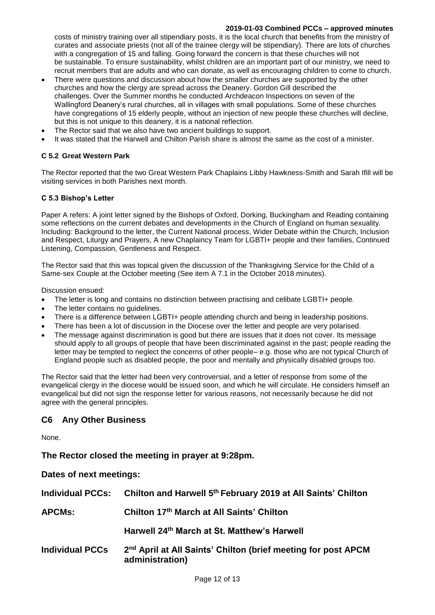#### **2019-01-03 Combined PCCs – approved minutes**

costs of ministry training over all stipendiary posts, it is the local church that benefits from the ministry of curates and associate priests (not all of the trainee clergy will be stipendiary). There are lots of churches with a congregation of 15 and falling. Going forward the concern is that these churches will not be sustainable. To ensure sustainability, whilst children are an important part of our ministry, we need to recruit members that are adults and who can donate, as well as encouraging children to come to church.

- There were questions and discussion about how the smaller churches are supported by the other churches and how the clergy are spread across the Deanery. Gordon Gill described the challenges. Over the Summer months he conducted Archdeacon Inspections on seven of the Wallingford Deanery's rural churches, all in villages with small populations. Some of these churches have congregations of 15 elderly people, without an injection of new people these churches will decline, but this is not unique to this deanery, it is a national reflection.
- The Rector said that we also have two ancient buildings to support.
- It was stated that the Harwell and Chilton Parish share is almost the same as the cost of a minister.

#### **C 5.2 Great Western Park**

The Rector reported that the two Great Western Park Chaplains Libby Hawkness-Smith and Sarah Ifill will be visiting services in both Parishes next month.

#### **C 5.3 Bishop's Letter**

Paper A refers: A joint letter signed by the Bishops of Oxford, Dorking, Buckingham and Reading containing some reflections on the current debates and developments in the Church of England on human sexuality. Including: Background to the letter, the Current National process, Wider Debate within the Church, Inclusion and Respect, Liturgy and Prayers, A new Chaplaincy Team for LGBTI+ people and their families, Continued Listening, Compassion, Gentleness and Respect.

The Rector said that this was topical given the discussion of the Thanksgiving Service for the Child of a Same-sex Couple at the October meeting (See item A 7.1 in the October 2018 minutes).

Discussion ensued:

- The letter is long and contains no distinction between practising and celibate LGBTI+ people.
- The letter contains no guidelines.
- There is a difference between LGBTI+ people attending church and being in leadership positions.
- There has been a lot of discussion in the Diocese over the letter and people are very polarised.
- The message against discrimination is good but there are issues that it does not cover. Its message should apply to all groups of people that have been discriminated against in the past; people reading the letter may be tempted to neglect the concerns of other people– e.g. those who are not typical Church of England people such as disabled people, the poor and mentally and physically disabled groups too.

The Rector said that the letter had been very controversial, and a letter of response from some of the evangelical clergy in the diocese would be issued soon, and which he will circulate. He considers himself an evangelical but did not sign the response letter for various reasons, not necessarily because he did not agree with the general principles.

#### **C6 Any Other Business**

None.

**The Rector closed the meeting in prayer at 9:28pm.**

**Dates of next meetings:**

| <b>Individual PCCs:</b> | Chilton and Harwell 5th February 2019 at All Saints' Chilton                                 |
|-------------------------|----------------------------------------------------------------------------------------------|
| <b>APCMs:</b>           | Chilton 17th March at All Saints' Chilton                                                    |
|                         | Harwell 24th March at St. Matthew's Harwell                                                  |
| <b>Individual PCCs</b>  | 2 <sup>nd</sup> April at All Saints' Chilton (brief meeting for post APCM<br>administration) |